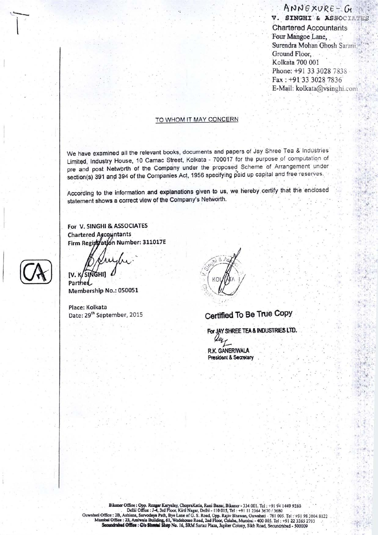ANNEXURE-G V. SINGHI & ASSOCIATES **Chartered Accountants** Four Mangoe Lane, Surendra Mohan Ghosh Sarani. Ground Floor. Kolkata 700 001 Phone: +91 33 3028 7838 Fax: +91:33 3028 7836 E-Mail: kolkata@vsinghi.com

#### TO WHOM IT MAY CONCERN

We have examined all the relevant books, documents and papers of Jay Shree Tea & Industries Limited, Industry House, 10 Camac Street, Kolkata - 700017 for the purpose of computation of pre and post Networth of the Company under the proposed Scheme of Arrangement under section(s) 391 and 394 of the Companies Act, 1956 specifying paid up capital and free reserves.

According to the information and explanations given to us, we hereby certify that the enclosed statement shows a correct view of the Company's Networth.

For V. SINGHI & ASSOCIATES **Chartered Accountants** Firm Registration Number: 311017E

IV. K/SINGHI]

Partner Membership No.: 050051

Place: Kolkata Date: 29<sup>th</sup> September, 2015

## Certified To Be True Copy

For JAY SHREE TEA & INDUSTRIES LTD. R.K. GANERIWALA **President & Secretary** 

Bikaner Office : Opp. Rozgar Karyalay, ChopraKatla, Rani Bazar, Bikaner - 334 001. Tel : +91 94 1449 9280<br>
Delhi Office : J-4, 3rd Floor, Kirti Nagar, Delhi - 110 015, Tel : +91 11 2364 3670 / 3680<br>
Mumbai Office : 2B, Ash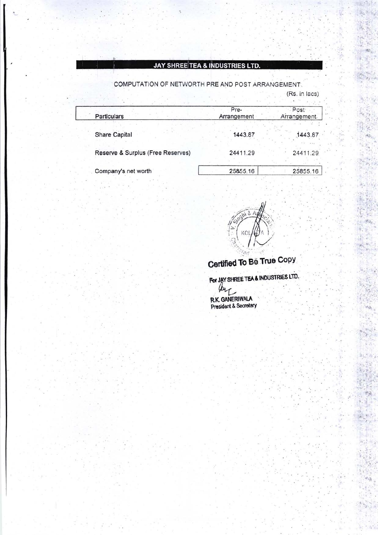### **JAY SHREE TEA & INDUSTRIES LTD.**

COMPUTATION OF NETWORTH PRE AND POST ARRANGEMENT. (Rs. in lacs)

| Particulars                       | Pre-<br>Arrangement | Post<br>Arrangement. |
|-----------------------------------|---------------------|----------------------|
| <b>Share Capital</b>              | 1443.87             | 1443.87<br>All Calax |
| Reserve & Surplus (Free Reserves) | 24411.29            | 24411.29             |
| Company's net worth               | 25855.16            | 25855.16             |



 $\sim$ 

# Certified To Be True Copy

For JAY SHREE TEA & INDUSTRIES LTD.

lear **R.K. GANERIWALA**<br>President & Secretary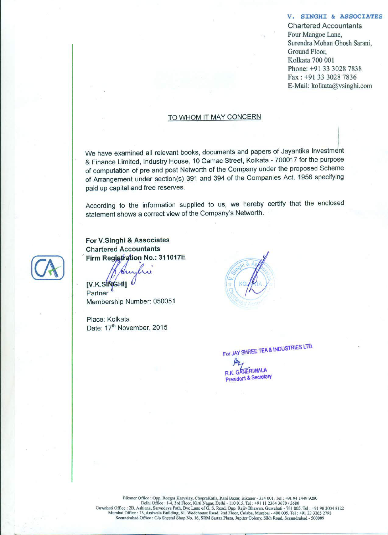#### V. SINGHI & ASSOCIATES

**Chartered Accountants** Four Mangoe Lane, Surendra Mohan Ghosh Sarani, Ground Floor, Kolkata 700 001 Phone: +91 33 3028 7838 Fax: +91 33 3028 7836 E-Mail: kolkata@vsinghi.com

#### TO WHOM IT MAY CONCERN

We have examined all relevant books, documents and papers of Jayantika Investment & Finance Limited, Industry House, 10 Camac Street, Kolkata - 700017 for the purpose of computation of pre and post Networth of the Company under the proposed Scheme of Arrangement under section(s) 391 and 394 of the Companies Act, 1956 specifying paid up capital and free reserves.

According to the information supplied to us, we hereby certify that the enclosed statement shows a correct view of the Company's Networth.

For V.Singhi & Associates **Chartered Accountants** Firm Registration No.: 311017E

[V.K.SINGHI] Partner Membership Number: 050051

Place: Kolkata Date: 17<sup>th</sup> November, 2015



For JAY SHREE TEA & INDUSTRIES LTD.

**GANERIWALA President & Secretary**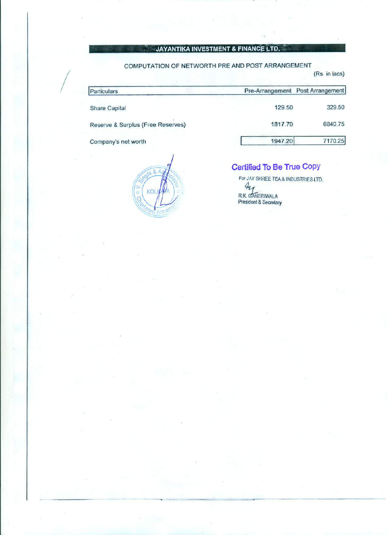#### JAYANTIKA INVESTMENT & FINANCE LTD.

#### COMPUTATION OF NETWORTH PRE AND POST ARRANGEMENT

| Particulars                       |         | Pre-Arrangement Post Arrangement |
|-----------------------------------|---------|----------------------------------|
| <b>Share Capital</b>              | 129.50  | 329.50                           |
| Reserve & Surplus (Free Reserves) | 1817.70 | 6840.75                          |
| Company's net worth               | 1947.20 | 7170.25                          |

KOI

## Certified To Be True Copy

(Rs. in lacs)

For JAY SHREE TEA & INDUSTRIES LTD.  $\begin{array}{c} \mathcal{A}_{\ell}\\ R.K. \text{ GANERIMALA} \\ \text{President & Secretary} \end{array}$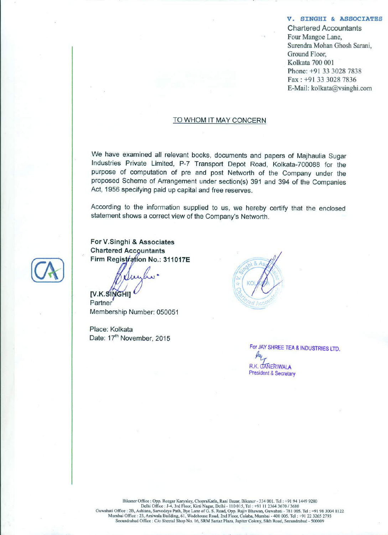V. SINGHI & ASSOCIATES

**Chartered Accountants** Four Mangoe Lane, Surendra Mohan Ghosh Sarani, Ground Floor. Kolkata 700 001 Phone: +91 33 3028 7838 Fax: +91 33 3028 7836 E-Mail: kolkata@vsinghi.com

#### TO WHOM IT MAY CONCERN

We have examined all relevant books, documents and papers of Majhaulia Sugar Industries Private Limited, P-7 Transport Depot Road, Kolkata-700088 for the purpose of computation of pre and post Networth of the Company under the proposed Scheme of Arrangement under section(s) 391 and 394 of the Companies Act, 1956 specifying paid up capital and free reserves.

According to the information supplied to us, we hereby certify that the enclosed statement shows a correct view of the Company's Networth.

For V.Singhi & Associates **Chartered Accountants** Firm Registration No.: 311017E

**IV.K.SINGHIT** 

Partner Membership Number: 050051

Place: Kolkata Date: 17<sup>th</sup> November, 2015

For JAY SHREE TEA & INDUSTRIES LTD. **R.K. GANERIWALA** President & Secretary

Bikaner Office : Opp. Rozgar Karyalay, ChopraKatla, Rani Bazar, Bikaner - 334 001. Tel : +91 94 1449 9280 Delhi Office : J-4, 3rd Floor, Kirti Nagar, Delhi - 110 015, Tel : +91 11 2364 3670 / 3680<br>Guwahati Office : 2B, Ashiana, Sarvodaya Path, Bye Lane of G. S. Road, Opp. Rajiv Bhawan, Guwahati - 781 005. Tel : +91 98 3004 812 Secundrabad Office : C/o Sheetal Shop No. 16, SRM Sartaz Plaza, Jupiter Colony, Sikh Road, Secundrabad - 500009